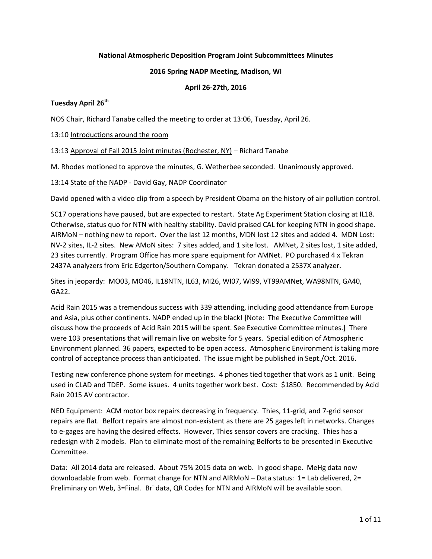## **National Atmospheric Deposition Program Joint Subcommittees Minutes**

#### **2016 Spring NADP Meeting, Madison, WI**

## **April 26-27th, 2016**

# **Tuesday April 26th**

NOS Chair, Richard Tanabe called the meeting to order at 13:06, Tuesday, April 26.

13:10 Introductions around the room

13:13 Approval of Fall 2015 Joint minutes (Rochester, NY) – Richard Tanabe

M. Rhodes motioned to approve the minutes, G. Wetherbee seconded. Unanimously approved.

13:14 State of the NADP - David Gay, NADP Coordinator

David opened with a video clip from a speech by President Obama on the history of air pollution control.

SC17 operations have paused, but are expected to restart. State Ag Experiment Station closing at IL18. Otherwise, status quo for NTN with healthy stability. David praised CAL for keeping NTN in good shape. AIRMoN – nothing new to report. Over the last 12 months, MDN lost 12 sites and added 4. MDN Lost: NV-2 sites, IL-2 sites. New AMoN sites: 7 sites added, and 1 site lost. AMNet, 2 sites lost, 1 site added, 23 sites currently. Program Office has more spare equipment for AMNet. PO purchased 4 x Tekran 2437A analyzers from Eric Edgerton/Southern Company. Tekran donated a 2537X analyzer.

Sites in jeopardy: MO03, MO46, IL18NTN, IL63, MI26, WI07, WI99, VT99AMNet, WA98NTN, GA40, GA22.

Acid Rain 2015 was a tremendous success with 339 attending, including good attendance from Europe and Asia, plus other continents. NADP ended up in the black! [Note: The Executive Committee will discuss how the proceeds of Acid Rain 2015 will be spent. See Executive Committee minutes.] There were 103 presentations that will remain live on website for 5 years. Special edition of Atmospheric Environment planned. 36 papers, expected to be open access. Atmospheric Environment is taking more control of acceptance process than anticipated. The issue might be published in Sept./Oct. 2016.

Testing new conference phone system for meetings. 4 phones tied together that work as 1 unit. Being used in CLAD and TDEP. Some issues. 4 units together work best. Cost: \$1850. Recommended by Acid Rain 2015 AV contractor.

NED Equipment: ACM motor box repairs decreasing in frequency. Thies, 11-grid, and 7-grid sensor repairs are flat. Belfort repairs are almost non-existent as there are 25 gages left in networks. Changes to e-gages are having the desired effects. However, Thies sensor covers are cracking. Thies has a redesign with 2 models. Plan to eliminate most of the remaining Belforts to be presented in Executive Committee.

Data: All 2014 data are released. About 75% 2015 data on web. In good shape. MeHg data now downloadable from web. Format change for NTN and AIRMoN – Data status: 1= Lab delivered, 2= Preliminary on Web, 3=Final. Br data, QR Codes for NTN and AIRMoN will be available soon.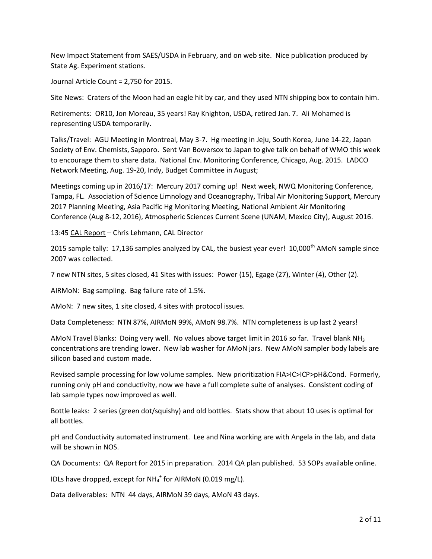New Impact Statement from SAES/USDA in February, and on web site. Nice publication produced by State Ag. Experiment stations.

Journal Article Count = 2,750 for 2015.

Site News: Craters of the Moon had an eagle hit by car, and they used NTN shipping box to contain him.

Retirements: OR10, Jon Moreau, 35 years! Ray Knighton, USDA, retired Jan. 7. Ali Mohamed is representing USDA temporarily.

Talks/Travel: AGU Meeting in Montreal, May 3-7. Hg meeting in Jeju, South Korea, June 14-22, Japan Society of Env. Chemists, Sapporo. Sent Van Bowersox to Japan to give talk on behalf of WMO this week to encourage them to share data. National Env. Monitoring Conference, Chicago, Aug. 2015. LADCO Network Meeting, Aug. 19-20, Indy, Budget Committee in August;

Meetings coming up in 2016/17: Mercury 2017 coming up! Next week, NWQ Monitoring Conference, Tampa, FL. Association of Science Limnology and Oceanography, Tribal Air Monitoring Support, Mercury 2017 Planning Meeting, Asia Pacific Hg Monitoring Meeting, National Ambient Air Monitoring Conference (Aug 8-12, 2016), Atmospheric Sciences Current Scene (UNAM, Mexico City), August 2016.

13:45 CAL Report – Chris Lehmann, CAL Director

2015 sample tally: 17,136 samples analyzed by CAL, the busiest year ever!  $10,000$ <sup>th</sup> AMoN sample since 2007 was collected.

7 new NTN sites, 5 sites closed, 41 Sites with issues: Power (15), Egage (27), Winter (4), Other (2).

AIRMoN: Bag sampling. Bag failure rate of 1.5%.

AMoN: 7 new sites, 1 site closed, 4 sites with protocol issues.

Data Completeness: NTN 87%, AIRMoN 99%, AMoN 98.7%. NTN completeness is up last 2 years!

AMoN Travel Blanks: Doing very well. No values above target limit in 2016 so far. Travel blank NH<sub>3</sub> concentrations are trending lower. New lab washer for AMoN jars. New AMoN sampler body labels are silicon based and custom made.

Revised sample processing for low volume samples. New prioritization FIA>IC>ICP>pH&Cond. Formerly, running only pH and conductivity, now we have a full complete suite of analyses. Consistent coding of lab sample types now improved as well.

Bottle leaks: 2 series (green dot/squishy) and old bottles. Stats show that about 10 uses is optimal for all bottles.

pH and Conductivity automated instrument. Lee and Nina working are with Angela in the lab, and data will be shown in NOS.

QA Documents: QA Report for 2015 in preparation. 2014 QA plan published. 53 SOPs available online.

IDLs have dropped, except for  $NH_4^+$  for AIRMoN (0.019 mg/L).

Data deliverables: NTN 44 days, AIRMoN 39 days, AMoN 43 days.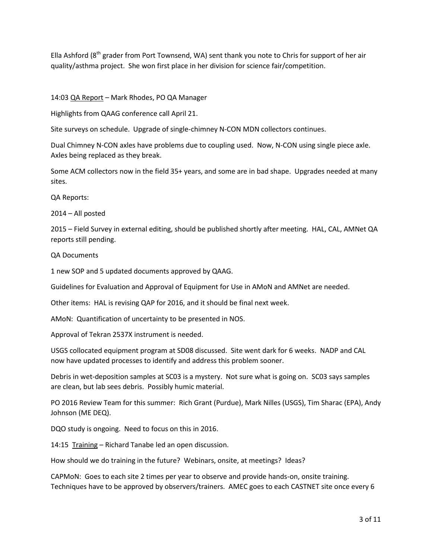Ella Ashford (8<sup>th</sup> grader from Port Townsend, WA) sent thank you note to Chris for support of her air quality/asthma project. She won first place in her division for science fair/competition.

# 14:03 QA Report – Mark Rhodes, PO QA Manager

Highlights from QAAG conference call April 21.

Site surveys on schedule. Upgrade of single-chimney N-CON MDN collectors continues.

Dual Chimney N-CON axles have problems due to coupling used. Now, N-CON using single piece axle. Axles being replaced as they break.

Some ACM collectors now in the field 35+ years, and some are in bad shape. Upgrades needed at many sites.

QA Reports:

2014 – All posted

2015 – Field Survey in external editing, should be published shortly after meeting. HAL, CAL, AMNet QA reports still pending.

# QA Documents

1 new SOP and 5 updated documents approved by QAAG.

Guidelines for Evaluation and Approval of Equipment for Use in AMoN and AMNet are needed.

Other items: HAL is revising QAP for 2016, and it should be final next week.

AMoN: Quantification of uncertainty to be presented in NOS.

Approval of Tekran 2537X instrument is needed.

USGS collocated equipment program at SD08 discussed. Site went dark for 6 weeks. NADP and CAL now have updated processes to identify and address this problem sooner.

Debris in wet-deposition samples at SC03 is a mystery. Not sure what is going on. SC03 says samples are clean, but lab sees debris. Possibly humic material.

PO 2016 Review Team for this summer: Rich Grant (Purdue), Mark Nilles (USGS), Tim Sharac (EPA), Andy Johnson (ME DEQ).

DQO study is ongoing. Need to focus on this in 2016.

14:15 Training – Richard Tanabe led an open discussion.

How should we do training in the future? Webinars, onsite, at meetings? Ideas?

CAPMoN: Goes to each site 2 times per year to observe and provide hands-on, onsite training. Techniques have to be approved by observers/trainers. AMEC goes to each CASTNET site once every 6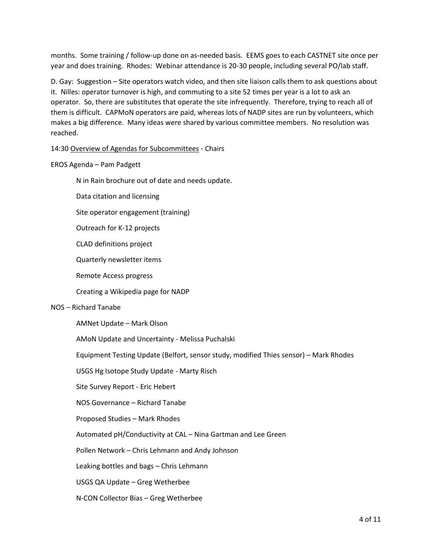months. Some training / follow-up done on as-needed basis. EEMS goes to each CASTNET site once per year and does training. Rhodes: Webinar attendance is 20-30 people, including several PO/lab staff.

D. Gay: Suggestion – Site operators watch video, and then site liaison calls them to ask questions about it. Nilles: operator turnover is high, and commuting to a site 52 times per year is a lot to ask an operator. So, there are substitutes that operate the site infrequently. Therefore, trying to reach all of them is difficult. CAPMoN operators are paid, whereas lots of NADP sites are run by volunteers, which makes a big difference. Many ideas were shared by various committee members. No resolution was reached.

#### 14:30 Overview of Agendas for Subcommittees - Chairs

#### EROS Agenda – Pam Padgett

N in Rain brochure out of date and needs update.

Data citation and licensing

Site operator engagement (training)

Outreach for K-12 projects

CLAD definitions project

Quarterly newsletter items

Remote Access progress

Creating a Wikipedia page for NADP

#### NOS – Richard Tanabe

AMNet Update – Mark Olson

AMoN Update and Uncertainty - Melissa Puchalski

Equipment Testing Update (Belfort, sensor study, modified Thies sensor) – Mark Rhodes

USGS Hg Isotope Study Update - Marty Risch

Site Survey Report - Eric Hebert

NOS Governance – Richard Tanabe

Proposed Studies – Mark Rhodes

Automated pH/Conductivity at CAL – Nina Gartman and Lee Green

Pollen Network – Chris Lehmann and Andy Johnson

Leaking bottles and bags – Chris Lehmann

USGS QA Update – Greg Wetherbee

N-CON Collector Bias – Greg Wetherbee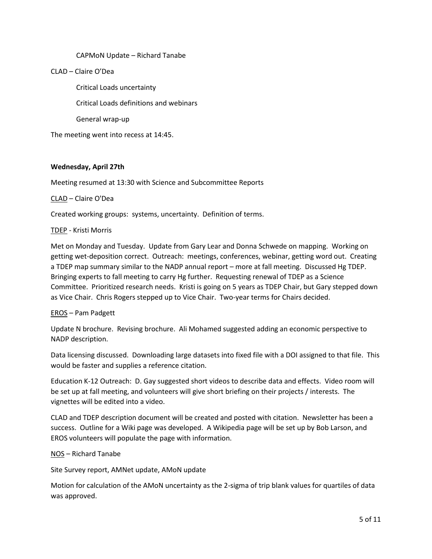## CAPMoN Update – Richard Tanabe

## CLAD – Claire O'Dea

Critical Loads uncertainty

Critical Loads definitions and webinars

General wrap-up

The meeting went into recess at 14:45.

#### **Wednesday, April 27th**

Meeting resumed at 13:30 with Science and Subcommittee Reports

## CLAD – Claire O'Dea

Created working groups: systems, uncertainty. Definition of terms.

#### TDEP - Kristi Morris

Met on Monday and Tuesday. Update from Gary Lear and Donna Schwede on mapping. Working on getting wet-deposition correct. Outreach: meetings, conferences, webinar, getting word out. Creating a TDEP map summary similar to the NADP annual report – more at fall meeting. Discussed Hg TDEP. Bringing experts to fall meeting to carry Hg further. Requesting renewal of TDEP as a Science Committee. Prioritized research needs. Kristi is going on 5 years as TDEP Chair, but Gary stepped down as Vice Chair. Chris Rogers stepped up to Vice Chair. Two-year terms for Chairs decided.

#### EROS – Pam Padgett

Update N brochure. Revising brochure. Ali Mohamed suggested adding an economic perspective to NADP description.

Data licensing discussed. Downloading large datasets into fixed file with a DOI assigned to that file. This would be faster and supplies a reference citation.

Education K-12 Outreach: D. Gay suggested short videos to describe data and effects. Video room will be set up at fall meeting, and volunteers will give short briefing on their projects / interests. The vignettes will be edited into a video.

CLAD and TDEP description document will be created and posted with citation. Newsletter has been a success. Outline for a Wiki page was developed. A Wikipedia page will be set up by Bob Larson, and EROS volunteers will populate the page with information.

# NOS – Richard Tanabe

Site Survey report, AMNet update, AMoN update

Motion for calculation of the AMoN uncertainty as the 2-sigma of trip blank values for quartiles of data was approved.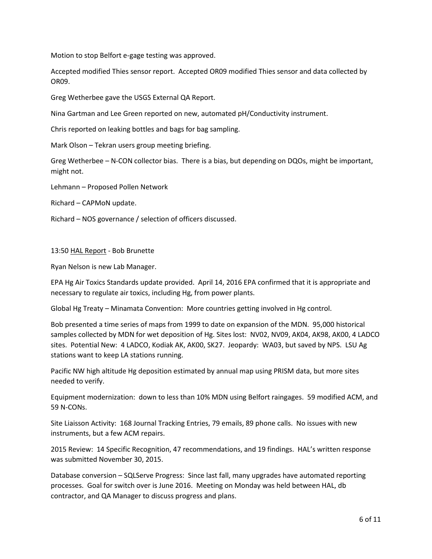Motion to stop Belfort e-gage testing was approved.

Accepted modified Thies sensor report. Accepted OR09 modified Thies sensor and data collected by OR09.

Greg Wetherbee gave the USGS External QA Report.

Nina Gartman and Lee Green reported on new, automated pH/Conductivity instrument.

Chris reported on leaking bottles and bags for bag sampling.

Mark Olson – Tekran users group meeting briefing.

Greg Wetherbee – N-CON collector bias. There is a bias, but depending on DQOs, might be important, might not.

Lehmann – Proposed Pollen Network

Richard – CAPMoN update.

Richard – NOS governance / selection of officers discussed.

#### 13:50 HAL Report - Bob Brunette

Ryan Nelson is new Lab Manager.

EPA Hg Air Toxics Standards update provided. April 14, 2016 EPA confirmed that it is appropriate and necessary to regulate air toxics, including Hg, from power plants.

Global Hg Treaty – Minamata Convention: More countries getting involved in Hg control.

Bob presented a time series of maps from 1999 to date on expansion of the MDN. 95,000 historical samples collected by MDN for wet deposition of Hg. Sites lost: NV02, NV09, AK04, AK98, AK00, 4 LADCO sites. Potential New: 4 LADCO, Kodiak AK, AK00, SK27. Jeopardy: WA03, but saved by NPS. LSU Ag stations want to keep LA stations running.

Pacific NW high altitude Hg deposition estimated by annual map using PRISM data, but more sites needed to verify.

Equipment modernization: down to less than 10% MDN using Belfort raingages. 59 modified ACM, and 59 N-CONs.

Site Liaisson Activity: 168 Journal Tracking Entries, 79 emails, 89 phone calls. No issues with new instruments, but a few ACM repairs.

2015 Review: 14 Specific Recognition, 47 recommendations, and 19 findings. HAL's written response was submitted November 30, 2015.

Database conversion – SQLServe Progress: Since last fall, many upgrades have automated reporting processes. Goal for switch over is June 2016. Meeting on Monday was held between HAL, db contractor, and QA Manager to discuss progress and plans.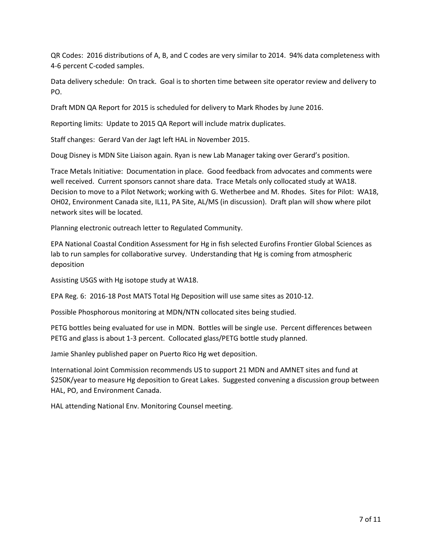QR Codes: 2016 distributions of A, B, and C codes are very similar to 2014. 94% data completeness with 4-6 percent C-coded samples.

Data delivery schedule: On track. Goal is to shorten time between site operator review and delivery to PO.

Draft MDN QA Report for 2015 is scheduled for delivery to Mark Rhodes by June 2016.

Reporting limits: Update to 2015 QA Report will include matrix duplicates.

Staff changes: Gerard Van der Jagt left HAL in November 2015.

Doug Disney is MDN Site Liaison again. Ryan is new Lab Manager taking over Gerard's position.

Trace Metals Initiative: Documentation in place. Good feedback from advocates and comments were well received. Current sponsors cannot share data. Trace Metals only collocated study at WA18. Decision to move to a Pilot Network; working with G. Wetherbee and M. Rhodes. Sites for Pilot: WA18, OH02, Environment Canada site, IL11, PA Site, AL/MS (in discussion). Draft plan will show where pilot network sites will be located.

Planning electronic outreach letter to Regulated Community.

EPA National Coastal Condition Assessment for Hg in fish selected Eurofins Frontier Global Sciences as lab to run samples for collaborative survey. Understanding that Hg is coming from atmospheric deposition

Assisting USGS with Hg isotope study at WA18.

EPA Reg. 6: 2016-18 Post MATS Total Hg Deposition will use same sites as 2010-12.

Possible Phosphorous monitoring at MDN/NTN collocated sites being studied.

PETG bottles being evaluated for use in MDN. Bottles will be single use. Percent differences between PETG and glass is about 1-3 percent. Collocated glass/PETG bottle study planned.

Jamie Shanley published paper on Puerto Rico Hg wet deposition.

International Joint Commission recommends US to support 21 MDN and AMNET sites and fund at \$250K/year to measure Hg deposition to Great Lakes. Suggested convening a discussion group between HAL, PO, and Environment Canada.

HAL attending National Env. Monitoring Counsel meeting.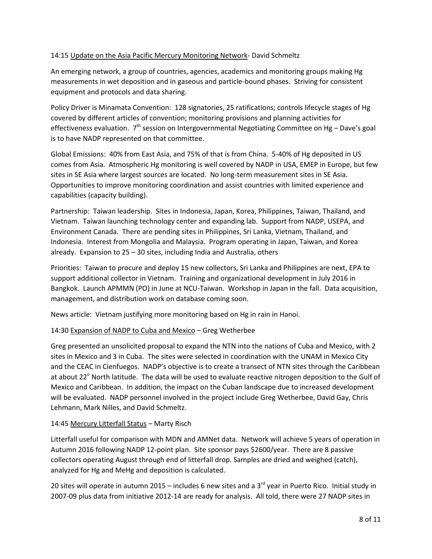# 14:15 Update on the Asia Pacific Mercury Monitoring Network- David Schmeltz

An emerging network, a group of countries, agencies, academics and monitoring groups making Hg measurements in wet deposition and in gaseous and particle-bound phases. Striving for consistent equipment and protocols and data sharing.

Policy Driver is Minamata Convention: 128 signatories, 25 ratifications; controls lifecycle stages of Hg covered by different articles of convention; monitoring provisions and planning activities for effectiveness evaluation.  $7<sup>th</sup>$  session on Intergovernmental Negotiating Committee on Hg – Dave's goal is to have NADP represented on that committee.

Global Emissions: 40% from East Asia, and 75% of that is from China. 5-40% of Hg deposited in US comes from Asia. Atmospheric Hg monitoring is well covered by NADP in USA, EMEP in Europe, but few sites in SE Asia where largest sources are located. No long-term measurement sites in SE Asia. Opportunities to improve monitoring coordination and assist countries with limited experience and capabilities (capacity building).

Partnership: Taiwan leadership. Sites in Indonesia, Japan, Korea, Philippines, Taiwan, Thailand, and Vietnam. Taiwan launching technology center and expanding lab. Support from NADP, USEPA, and Environment Canada. There are pending sites in Philippines, Sri Lanka, Vietnam, Thailand, and Indonesia. Interest from Mongolia and Malaysia. Program operating in Japan, Taiwan, and Korea already. Expansion to 25 – 30 sites, including India and Australia, others

Priorities: Taiwan to procure and deploy 15 new collectors, Sri Lanka and Philippines are next, EPA to support additional collector in Vietnam. Training and organizational development in July 2016 in Bangkok. Launch APMMN (PO) in June at NCU-Taiwan. Workshop in Japan in the fall. Data acquisition, management, and distribution work on database coming soon.

News article: Vietnam justifying more monitoring based on Hg in rain in Hanoi.

# 14:30 Expansion of NADP to Cuba and Mexico – Greg Wetherbee

Greg presented an unsolicited proposal to expand the NTN into the nations of Cuba and Mexico, with 2 sites in Mexico and 3 in Cuba. The sites were selected in coordination with the UNAM in Mexico City and the CEAC in Cienfuegos. NADP's objective is to create a transect of NTN sites through the Caribbean at about 22<sup>°</sup> North latitude. The data will be used to evaluate reactive nitrogen deposition to the Gulf of Mexico and Caribbean. In addition, the impact on the Cuban landscape due to increased development will be evaluated. NADP personnel involved in the project include Greg Wetherbee, David Gay, Chris Lehmann, Mark Nilles, and David Schmeltz.

# 14:45 Mercury Litterfall Status – Marty Risch

Litterfall useful for comparison with MDN and AMNet data. Network will achieve 5 years of operation in Autumn 2016 following NADP 12-point plan. Site sponsor pays \$2600/year. There are 8 passive collectors operating August through end of litterfall drop. Samples are dried and weighed (catch), analyzed for Hg and MeHg and deposition is calculated.

20 sites will operate in autumn 2015 – includes 6 new sites and a 3<sup>rd</sup> year in Puerto Rico. Initial study in 2007-09 plus data from initiative 2012-14 are ready for analysis. All told, there were 27 NADP sites in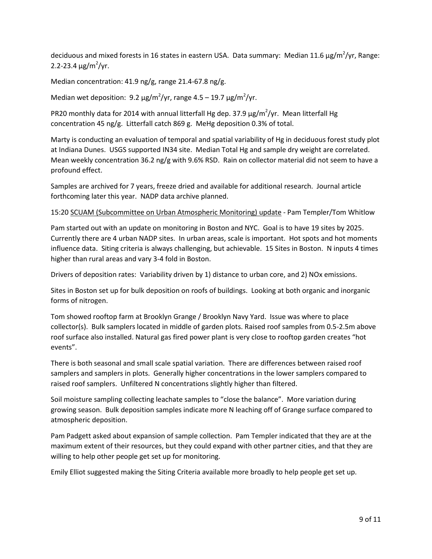deciduous and mixed forests in 16 states in eastern USA. Data summary: Median 11.6  $\mu$ g/m<sup>2</sup>/yr, Range: 2.2-23.4  $\mu$ g/m<sup>2</sup>/yr.

Median concentration: 41.9 ng/g, range 21.4-67.8 ng/g.

Median wet deposition: 9.2  $\mu$ g/m<sup>2</sup>/yr, range 4.5 – 19.7  $\mu$ g/m<sup>2</sup>/yr.

PR20 monthly data for 2014 with annual litterfall Hg dep. 37.9  $\mu$ g/m<sup>2</sup>/yr. Mean litterfall Hg concentration 45 ng/g. Litterfall catch 869 g. MeHg deposition 0.3% of total.

Marty is conducting an evaluation of temporal and spatial variability of Hg in deciduous forest study plot at Indiana Dunes. USGS supported IN34 site. Median Total Hg and sample dry weight are correlated. Mean weekly concentration 36.2 ng/g with 9.6% RSD. Rain on collector material did not seem to have a profound effect.

Samples are archived for 7 years, freeze dried and available for additional research. Journal article forthcoming later this year. NADP data archive planned.

# 15:20 SCUAM (Subcommittee on Urban Atmospheric Monitoring) update - Pam Templer/Tom Whitlow

Pam started out with an update on monitoring in Boston and NYC. Goal is to have 19 sites by 2025. Currently there are 4 urban NADP sites. In urban areas, scale is important. Hot spots and hot moments influence data. Siting criteria is always challenging, but achievable. 15 Sites in Boston. N inputs 4 times higher than rural areas and vary 3-4 fold in Boston.

Drivers of deposition rates: Variability driven by 1) distance to urban core, and 2) NOx emissions.

Sites in Boston set up for bulk deposition on roofs of buildings. Looking at both organic and inorganic forms of nitrogen.

Tom showed rooftop farm at Brooklyn Grange / Brooklyn Navy Yard. Issue was where to place collector(s). Bulk samplers located in middle of garden plots. Raised roof samples from 0.5-2.5m above roof surface also installed. Natural gas fired power plant is very close to rooftop garden creates "hot events".

There is both seasonal and small scale spatial variation. There are differences between raised roof samplers and samplers in plots. Generally higher concentrations in the lower samplers compared to raised roof samplers. Unfiltered N concentrations slightly higher than filtered.

Soil moisture sampling collecting leachate samples to "close the balance". More variation during growing season. Bulk deposition samples indicate more N leaching off of Grange surface compared to atmospheric deposition.

Pam Padgett asked about expansion of sample collection. Pam Templer indicated that they are at the maximum extent of their resources, but they could expand with other partner cities, and that they are willing to help other people get set up for monitoring.

Emily Elliot suggested making the Siting Criteria available more broadly to help people get set up.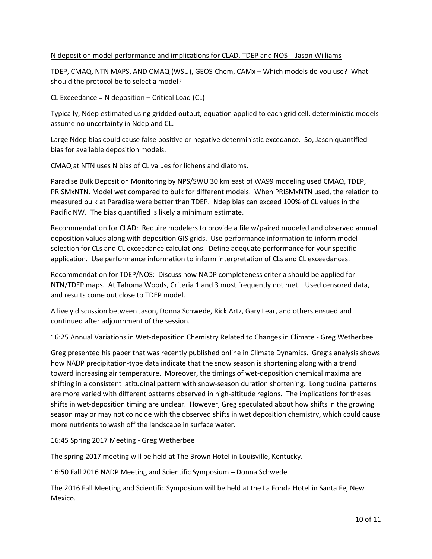# N deposition model performance and implications for CLAD, TDEP and NOS - Jason Williams

TDEP, CMAQ, NTN MAPS, AND CMAQ (WSU), GEOS-Chem, CAMx – Which models do you use? What should the protocol be to select a model?

CL Exceedance = N deposition – Critical Load (CL)

Typically, Ndep estimated using gridded output, equation applied to each grid cell, deterministic models assume no uncertainty in Ndep and CL.

Large Ndep bias could cause false positive or negative deterministic excedance. So, Jason quantified bias for available deposition models.

CMAQ at NTN uses N bias of CL values for lichens and diatoms.

Paradise Bulk Deposition Monitoring by NPS/SWU 30 km east of WA99 modeling used CMAQ, TDEP, PRISMxNTN. Model wet compared to bulk for different models. When PRISMxNTN used, the relation to measured bulk at Paradise were better than TDEP. Ndep bias can exceed 100% of CL values in the Pacific NW. The bias quantified is likely a minimum estimate.

Recommendation for CLAD: Require modelers to provide a file w/paired modeled and observed annual deposition values along with deposition GIS grids. Use performance information to inform model selection for CLs and CL exceedance calculations. Define adequate performance for your specific application. Use performance information to inform interpretation of CLs and CL exceedances.

Recommendation for TDEP/NOS: Discuss how NADP completeness criteria should be applied for NTN/TDEP maps. At Tahoma Woods, Criteria 1 and 3 most frequently not met. Used censored data, and results come out close to TDEP model.

A lively discussion between Jason, Donna Schwede, Rick Artz, Gary Lear, and others ensued and continued after adjournment of the session.

16:25 Annual Variations in Wet-deposition Chemistry Related to Changes in Climate - Greg Wetherbee

Greg presented his paper that was recently published online in Climate Dynamics. Greg's analysis shows how NADP precipitation-type data indicate that the snow season is shortening along with a trend toward increasing air temperature. Moreover, the timings of wet-deposition chemical maxima are shifting in a consistent latitudinal pattern with snow-season duration shortening. Longitudinal patterns are more varied with different patterns observed in high-altitude regions. The implications for theses shifts in wet-deposition timing are unclear. However, Greg speculated about how shifts in the growing season may or may not coincide with the observed shifts in wet deposition chemistry, which could cause more nutrients to wash off the landscape in surface water.

16:45 Spring 2017 Meeting - Greg Wetherbee

The spring 2017 meeting will be held at The Brown Hotel in Louisville, Kentucky.

16:50 Fall 2016 NADP Meeting and Scientific Symposium – Donna Schwede

The 2016 Fall Meeting and Scientific Symposium will be held at the La Fonda Hotel in Santa Fe, New Mexico.